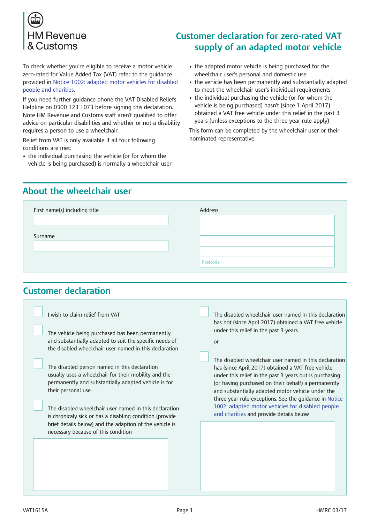

To check whether you're eligible to receive a motor vehicle zero-rated for Value Added Tax (VAT) refer to the guidance [provided](https://www.gov.uk/government/publications/vat-notice-1002-adapted-motor-vehicles-for-disabled-people-and-charities) in Notice 1002: adapted motor vehicles for disabled people and charities.

If you need further guidance phone the VAT Disabled Reliefs Helpline on 0300 123 1073 before signing this declaration. Note HM Revenue and Customs staff aren't qualified to offer advice on particular disabilities and whether or not a disability requires a person to use a wheelchair.

Relief from VAT is only available if all four following conditions are met:

• the individual purchasing the vehicle (or for whom the vehicle is being purchased) is normally a wheelchair user

# **Customer declaration for zero-rated VAT supply of an adapted motor vehicle**

- the adapted motor vehicle is being purchased for the wheelchair user's personal and domestic use
- the vehicle has been permanently and substantially adapted to meet the wheelchair user's individual requirements
- the individual purchasing the vehicle (or for whom the vehicle is being purchased) hasn't (since 1 April 2017) obtained a VAT free vehicle under this relief in the past 3 years (unless exceptions to the three year rule apply)

This form can be completed by the wheelchair user or their nominated representative.

## **About the wheelchair user**

| First name(s) including title | Address  |
|-------------------------------|----------|
|                               |          |
| Surname                       |          |
|                               |          |
|                               | Postcode |

## **Customer declaration**

| I wish to claim relief from VAT                          | The disabled wheelchair user named in this declaration  |
|----------------------------------------------------------|---------------------------------------------------------|
| The vehicle being purchased has been permanently         | has not (since April 2017) obtained a VAT free vehicle  |
| and substantially adapted to suit the specific needs of  | under this relief in the past 3 years                   |
| the disabled wheelchair user named in this declaration   | or                                                      |
| The disabled person named in this declaration            | The disabled wheelchair user named in this declaration  |
| usually uses a wheelchair for their mobility and the     | has (since April 2017) obtained a VAT free vehicle      |
| permanently and substantially adapted vehicle is for     | under this relief in the past 3 years but is purchasing |
| their personal use                                       | (or having purchased on their behalf) a permanently     |
| The disabled wheelchair user named in this declaration   | and substantially adapted motor vehicle under the       |
| is chronicaly sick or has a disabling condition (provide | three year rule exceptions. See the guidance in Notice  |
| brief details below) and the adaption of the vehicle is  | 1002: adapted motor vehicles for disabled people        |
| necessary because of this condition                      | and charities and provide details below                 |